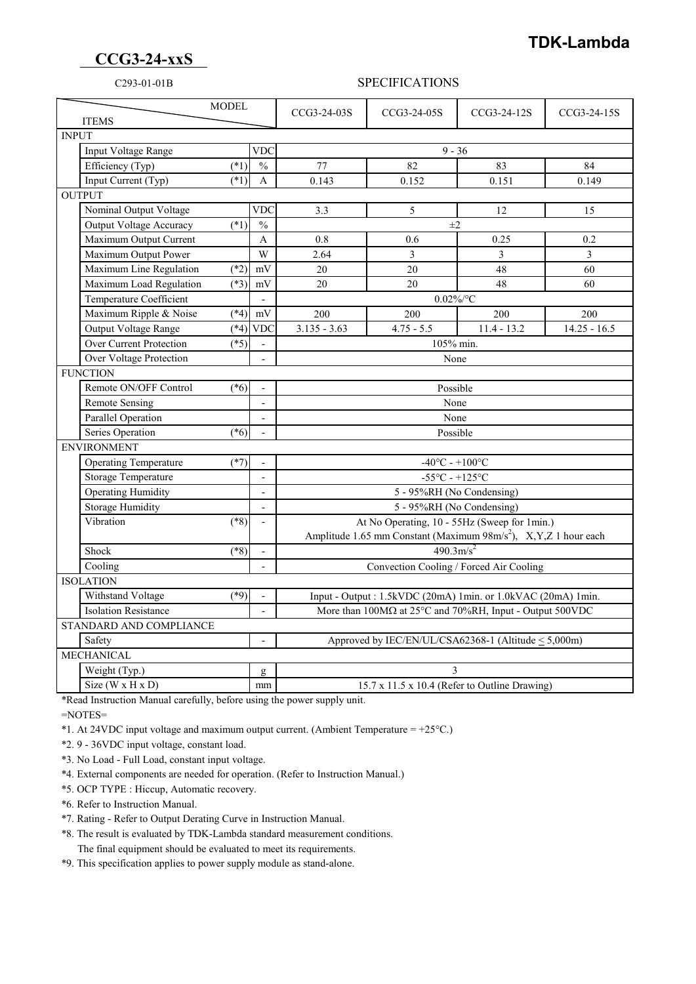## **TDK-Lambda**

## **CCG3-24-xxS**

## C293-01-01B SPECIFICATIONS

| <b>MODEL</b><br><b>ITEMS</b> |                                        |                                    |                          | CCG3-24-03S                                                                      | CCG3-24-05S                                   | CCG3-24-12S   | CCG3-24-15S    |  |
|------------------------------|----------------------------------------|------------------------------------|--------------------------|----------------------------------------------------------------------------------|-----------------------------------------------|---------------|----------------|--|
| <b>INPUT</b>                 |                                        |                                    |                          |                                                                                  |                                               |               |                |  |
|                              | Input Voltage Range<br><b>VDC</b>      |                                    |                          | $9 - 36$                                                                         |                                               |               |                |  |
|                              | Efficiency (Typ)                       | $(*1)$                             | $\frac{0}{0}$            | 77                                                                               | 82                                            | 83            | 84             |  |
|                              | Input Current (Typ)                    | $(*1)$                             | A                        | 0.143                                                                            | 0.152                                         | 0.151         | 0.149          |  |
| <b>OUTPUT</b>                |                                        |                                    |                          |                                                                                  |                                               |               |                |  |
|                              | Nominal Output Voltage                 |                                    | <b>VDC</b>               | 3.3                                                                              | $\mathfrak{S}$                                | 12            | 15             |  |
|                              | <b>Output Voltage Accuracy</b>         | $(*1)$                             | $\frac{0}{0}$            | $\pm 2$                                                                          |                                               |               |                |  |
|                              | Maximum Output Current                 |                                    | A                        | 0.8                                                                              | 0.6                                           | 0.25          | 0.2            |  |
|                              | Maximum Output Power                   |                                    | W                        | 2.64                                                                             | 3                                             | 3             | $\overline{3}$ |  |
|                              | Maximum Line Regulation                | $(*2)$                             | mV                       | 20                                                                               | 20                                            | 48            | 60             |  |
|                              | Maximum Load Regulation                | $(*3)$                             | mV                       | 20                                                                               | 20                                            | 48            | 60             |  |
|                              | Temperature Coefficient                |                                    |                          | $0.02\%$ /°C                                                                     |                                               |               |                |  |
|                              | Maximum Ripple & Noise                 | $(*4)$                             | $\rm mV$                 | 200                                                                              | 200                                           | 200           | 200            |  |
|                              | Output Voltage Range                   | $(*4)$                             | <b>VDC</b>               | $3.135 - 3.63$                                                                   | $4.75 - 5.5$                                  | $11.4 - 13.2$ | $14.25 - 16.5$ |  |
|                              | <b>Over Current Protection</b>         | $(*5)$<br>105% min.                |                          |                                                                                  |                                               |               |                |  |
|                              | Over Voltage Protection                |                                    |                          | None                                                                             |                                               |               |                |  |
| <b>FUNCTION</b>              |                                        |                                    |                          |                                                                                  |                                               |               |                |  |
|                              | Remote ON/OFF Control                  | $(*6)$<br>Possible<br>$\mathbf{r}$ |                          |                                                                                  |                                               |               |                |  |
|                              | <b>Remote Sensing</b>                  |                                    | $\mathbf{r}$             | None                                                                             |                                               |               |                |  |
|                              | <b>Parallel Operation</b>              |                                    | $\overline{\phantom{a}}$ |                                                                                  | None                                          |               |                |  |
|                              | Series Operation                       | $(*6)$                             |                          | Possible                                                                         |                                               |               |                |  |
| <b>ENVIRONMENT</b>           |                                        |                                    |                          |                                                                                  |                                               |               |                |  |
|                              | <b>Operating Temperature</b><br>$(*7)$ |                                    |                          | $-40^{\circ}$ C - $+100^{\circ}$ C                                               |                                               |               |                |  |
|                              | Storage Temperature                    |                                    | $\overline{a}$           | $-55^{\circ}$ C - $+125^{\circ}$ C                                               |                                               |               |                |  |
|                              | <b>Operating Humidity</b>              |                                    |                          | 5 - 95%RH (No Condensing)                                                        |                                               |               |                |  |
|                              | <b>Storage Humidity</b>                |                                    | $\overline{\phantom{a}}$ | 5 - 95%RH (No Condensing)                                                        |                                               |               |                |  |
|                              | Vibration                              | $(*8)$                             | $\overline{a}$           | At No Operating, 10 - 55Hz (Sweep for 1min.)                                     |                                               |               |                |  |
|                              |                                        |                                    |                          | Amplitude 1.65 mm Constant (Maximum 98m/s <sup>2</sup> ), X,Y,Z 1 hour each      |                                               |               |                |  |
|                              | Shock                                  | $(*8)$                             |                          | $490.3 \text{m/s}^2$                                                             |                                               |               |                |  |
|                              | Cooling                                |                                    |                          | Convection Cooling / Forced Air Cooling                                          |                                               |               |                |  |
| <b>ISOLATION</b>             |                                        |                                    |                          |                                                                                  |                                               |               |                |  |
|                              | Withstand Voltage                      | $(*9)$                             |                          | Input - Output: 1.5kVDC (20mA) 1min. or 1.0kVAC (20mA) 1min.                     |                                               |               |                |  |
| <b>Isolation Resistance</b>  |                                        |                                    |                          | More than $100M\Omega$ at $25^{\circ}$ C and $70\%$ RH, Input - Output $500$ VDC |                                               |               |                |  |
| STANDARD AND COMPLIANCE      |                                        |                                    |                          |                                                                                  |                                               |               |                |  |
| Safety                       |                                        |                                    |                          | Approved by IEC/EN/UL/CSA62368-1 (Altitude < 5,000m)                             |                                               |               |                |  |
| <b>MECHANICAL</b>            |                                        |                                    |                          |                                                                                  |                                               |               |                |  |
|                              | Weight (Typ.)                          |                                    | g                        | 3                                                                                |                                               |               |                |  |
|                              | Size ( $W \times H \times D$ )<br>mm   |                                    |                          |                                                                                  | 15.7 x 11.5 x 10.4 (Refer to Outline Drawing) |               |                |  |

\*Read Instruction Manual carefully, before using the power supply unit.

=NOTES=

\*1. At 24VDC input voltage and maximum output current. (Ambient Temperature =  $+25^{\circ}$ C.)

\*2. 9 - 36VDC input voltage, constant load.

\*3. No Load - Full Load, constant input voltage.

\*4. External components are needed for operation. (Refer to Instruction Manual.)

\*5. OCP TYPE : Hiccup, Automatic recovery.

\*6. Refer to Instruction Manual.

\*7. Rating - Refer to Output Derating Curve in Instruction Manual.

 \*8. The result is evaluated by TDK-Lambda standard measurement conditions. The final equipment should be evaluated to meet its requirements.

\*9. This specification applies to power supply module as stand-alone.